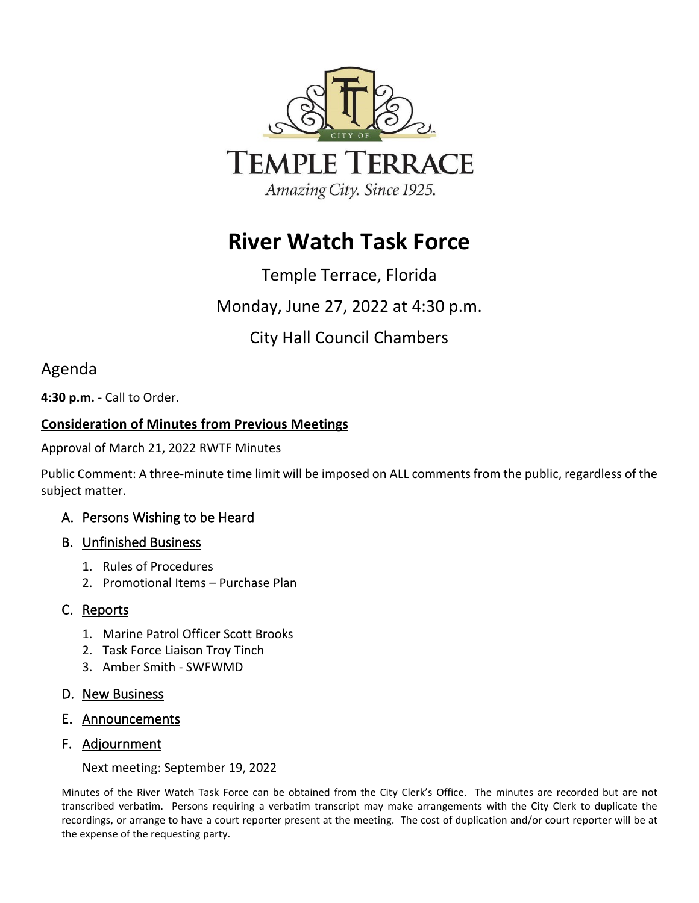

# **River Watch Task Force**

# Temple Terrace, Florida

Monday, June 27, 2022 at 4:30 p.m.

# City Hall Council Chambers

# Agenda

**4:30 p.m.** - Call to Order.

## **Consideration of Minutes from Previous Meetings**

Approval of March 21, 2022 RWTF Minutes

Public Comment: A three-minute time limit will be imposed on ALL comments from the public, regardless of the subject matter.

## A. Persons Wishing to be Heard

## B. Unfinished Business

- 1. Rules of Procedures
- 2. Promotional Items Purchase Plan

## C. Reports

- 1. Marine Patrol Officer Scott Brooks
- 2. Task Force Liaison Troy Tinch
- 3. Amber Smith SWFWMD

## D. New Business

E. Announcements

## F. Adjournment

Next meeting: September 19, 2022

Minutes of the River Watch Task Force can be obtained from the City Clerk's Office. The minutes are recorded but are not transcribed verbatim. Persons requiring a verbatim transcript may make arrangements with the City Clerk to duplicate the recordings, or arrange to have a court reporter present at the meeting. The cost of duplication and/or court reporter will be at the expense of the requesting party.